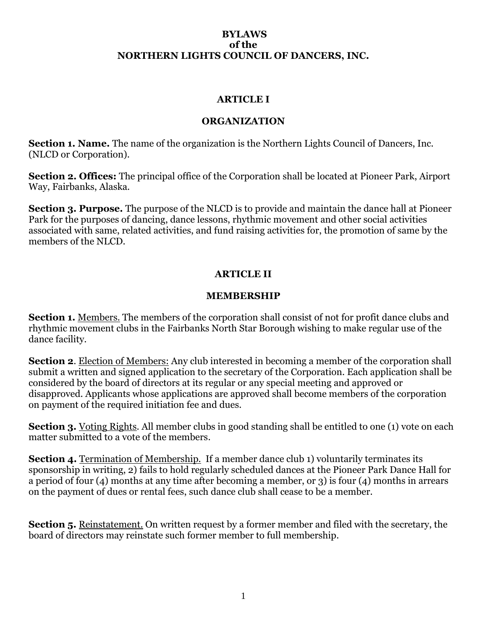#### **BYLAWS of the NORTHERN LIGHTS COUNCIL OF DANCERS, INC.**

### **ARTICLE I**

### **ORGANIZATION**

**Section 1. Name.** The name of the organization is the Northern Lights Council of Dancers, Inc. (NLCD or Corporation).

**Section 2. Offices:** The principal office of the Corporation shall be located at Pioneer Park, Airport Way, Fairbanks, Alaska.

**Section 3. Purpose.** The purpose of the NLCD is to provide and maintain the dance hall at Pioneer Park for the purposes of dancing, dance lessons, rhythmic movement and other social activities associated with same, related activities, and fund raising activities for, the promotion of same by the members of the NLCD.

# **ARTICLE II**

### **MEMBERSHIP**

**Section 1.** Members. The members of the corporation shall consist of not for profit dance clubs and rhythmic movement clubs in the Fairbanks North Star Borough wishing to make regular use of the dance facility.

**Section 2**. Election of Members: Any club interested in becoming a member of the corporation shall submit a written and signed application to the secretary of the Corporation. Each application shall be considered by the board of directors at its regular or any special meeting and approved or disapproved. Applicants whose applications are approved shall become members of the corporation on payment of the required initiation fee and dues.

**Section 3.** Voting Rights. All member clubs in good standing shall be entitled to one (1) vote on each matter submitted to a vote of the members.

**Section 4.** Termination of Membership. If a member dance club 1) voluntarily terminates its sponsorship in writing, 2) fails to hold regularly scheduled dances at the Pioneer Park Dance Hall for a period of four (4) months at any time after becoming a member, or 3) is four (4) months in arrears on the payment of dues or rental fees, such dance club shall cease to be a member.

**Section 5.** Reinstatement. On written request by a former member and filed with the secretary, the board of directors may reinstate such former member to full membership.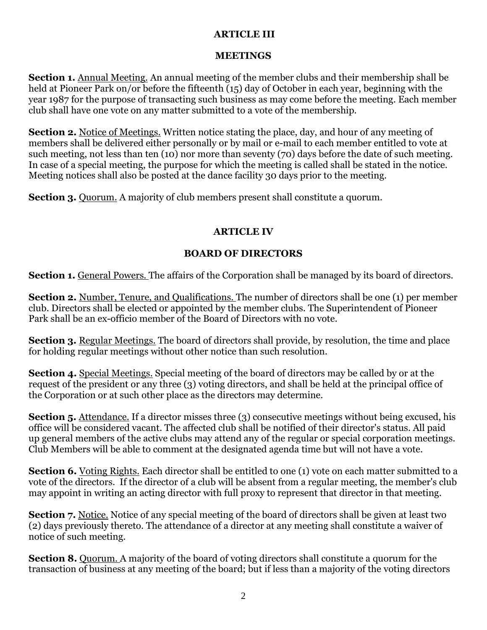# **ARTICLE III**

## **MEETINGS**

**Section 1.** Annual Meeting. An annual meeting of the member clubs and their membership shall be held at Pioneer Park on/or before the fifteenth (15) day of October in each year, beginning with the year 1987 for the purpose of transacting such business as may come before the meeting. Each member club shall have one vote on any matter submitted to a vote of the membership.

**Section 2.** Notice of Meetings. Written notice stating the place, day, and hour of any meeting of members shall be delivered either personally or by mail or e-mail to each member entitled to vote at such meeting, not less than ten (10) nor more than seventy (70) days before the date of such meeting. In case of a special meeting, the purpose for which the meeting is called shall be stated in the notice. Meeting notices shall also be posted at the dance facility 30 days prior to the meeting.

**Section 3.** Ouorum. A majority of club members present shall constitute a quorum.

# **ARTICLE IV**

# **BOARD OF DIRECTORS**

**Section 1.** General Powers. The affairs of the Corporation shall be managed by its board of directors.

**Section 2.** Number, Tenure, and Qualifications. The number of directors shall be one (1) per member club. Directors shall be elected or appointed by the member clubs. The Superintendent of Pioneer Park shall be an ex-officio member of the Board of Directors with no vote.

**Section 3.** Regular Meetings. The board of directors shall provide, by resolution, the time and place for holding regular meetings without other notice than such resolution.

**Section 4.** Special Meetings. Special meeting of the board of directors may be called by or at the request of the president or any three (3) voting directors, and shall be held at the principal office of the Corporation or at such other place as the directors may determine.

**Section 5.** Attendance. If a director misses three (3) consecutive meetings without being excused, his office will be considered vacant. The affected club shall be notified of their director's status. All paid up general members of the active clubs may attend any of the regular or special corporation meetings. Club Members will be able to comment at the designated agenda time but will not have a vote.

**Section 6.** Voting Rights. Each director shall be entitled to one (1) vote on each matter submitted to a vote of the directors. If the director of a club will be absent from a regular meeting, the member's club may appoint in writing an acting director with full proxy to represent that director in that meeting.

**Section 7.** Notice. Notice of any special meeting of the board of directors shall be given at least two (2) days previously thereto. The attendance of a director at any meeting shall constitute a waiver of notice of such meeting.

**Section 8.** Quorum. A majority of the board of voting directors shall constitute a quorum for the transaction of business at any meeting of the board; but if less than a majority of the voting directors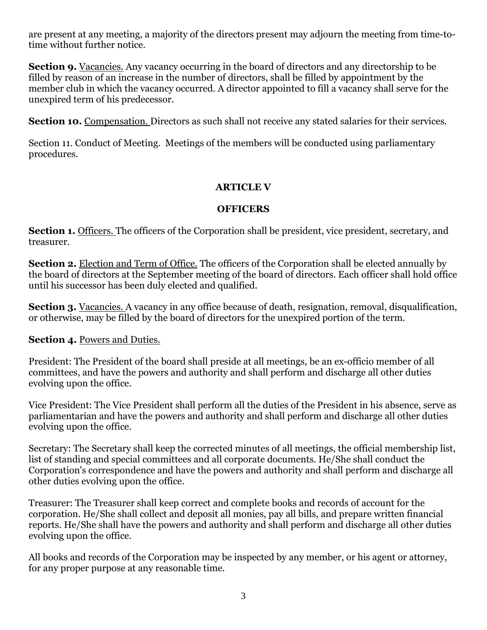are present at any meeting, a majority of the directors present may adjourn the meeting from time-totime without further notice.

**Section 9.** Vacancies. Any vacancy occurring in the board of directors and any directorship to be filled by reason of an increase in the number of directors, shall be filled by appointment by the member club in which the vacancy occurred. A director appointed to fill a vacancy shall serve for the unexpired term of his predecessor.

**Section 10.** Compensation. Directors as such shall not receive any stated salaries for their services.

Section 11. Conduct of Meeting. Meetings of the members will be conducted using parliamentary procedures.

# **ARTICLE V**

# **OFFICERS**

**Section 1.** Officers. The officers of the Corporation shall be president, vice president, secretary, and treasurer.

**Section 2.** Election and Term of Office. The officers of the Corporation shall be elected annually by the board of directors at the September meeting of the board of directors. Each officer shall hold office until his successor has been duly elected and qualified.

**Section 3.** Vacancies. A vacancy in any office because of death, resignation, removal, disqualification, or otherwise, may be filled by the board of directors for the unexpired portion of the term.

## **Section 4.** Powers and Duties.

President: The President of the board shall preside at all meetings, be an ex-officio member of all committees, and have the powers and authority and shall perform and discharge all other duties evolving upon the office.

Vice President: The Vice President shall perform all the duties of the President in his absence, serve as parliamentarian and have the powers and authority and shall perform and discharge all other duties evolving upon the office.

Secretary: The Secretary shall keep the corrected minutes of all meetings, the official membership list, list of standing and special committees and all corporate documents. He/She shall conduct the Corporation's correspondence and have the powers and authority and shall perform and discharge all other duties evolving upon the office.

Treasurer: The Treasurer shall keep correct and complete books and records of account for the corporation. He/She shall collect and deposit all monies, pay all bills, and prepare written financial reports. He/She shall have the powers and authority and shall perform and discharge all other duties evolving upon the office.

All books and records of the Corporation may be inspected by any member, or his agent or attorney, for any proper purpose at any reasonable time.